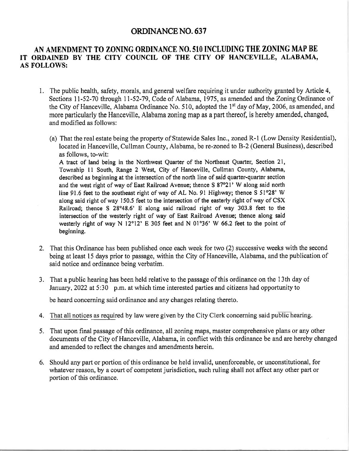## ORDINANCENO.63T

## AN AMENDMENT TO ZONING ORDINANCE NO.51O INCLUDING THE ZONING MAP BE IT ORDAINED BY THE CITY COUNCIL OF THE CITY OF HANCEVILLE, ALABAMA, AS FOLLOWS:

- 1. The public health, safety, morals, and general welfare requiring it under authority granted by Article 4, Sections 1l-52-70 through 11-52-79, Code of Alabama, 1975, as amended and the Zoning Ordinance of the City of Hanceville, Alabama Ordinance No. 510, adopted the 1<sup>st</sup> day of May, 2006, as amended, and more particularly the Hanceville, Alabama zoning map as a part thereof, is hereby amended, changed, and modified as follows:
	- (a) That the real estate being the property of Statewide Sales Inc., zoned R-l (Low Density Residential), located in Hanceville, Cullman County, Alabama, be re-zoned to B-2 (General Business), described as follows, to-wit: A tract of land being in the Northwest Quarter of the Northeast Quarter, Section 21, Township 11 South, Range 2 West, City of Hanceville, Cullman County, Alabama, described as beginning at the intersection of the north line of said quarter-quarter section and the west right of way of East Railroad Avenue; thence S 87°21' W along said north line 91.6 feet to the southeast right of way of AL No. 91 Highway; thence  $\overline{S}$  51°28' W along said right of way 150.5 feet to the intersection of the easterly right of way of  $\text{CSX}$ Railroad; thence S  $28^{\circ}48.6$ ' E along said railroad right of way 303.8 feet to the intersection of the westerly right of way of East Railroad Avenue; thence along said westerly right of way N  $12^{\circ}12$ ' E 305 feet and N 01°36' W 66.2 feet to the point of beginning.
- 2. That this Ordinance has been published once each week for two (2) successive weeks with the second being at least l5 days prior to passage, within the City of Hanceville, Alabama, and the publication of said notice and ordinance being verbatim.
- <sup>3</sup>. That a public hearing has been held relative to the passage of this ordinance on the 1 3 th day of January, 2022 at 5:30 p.m. at which time interested parties and citizens had opportunity to

be heard concerning said ordinance and any changes relating thereto.

- 4. That all notices as required by law were given by the City Clerk concerning said public hearing.
- 5. That upon final passage of this ordinance, all zoning maps, master comprehensive plans or any other documents of the City of Hanceville, Alabama, in conflict with this ordinance be and are hereby changed and amended to reflect the changes and amendments herein.
- 6. Should any part or portion of this ordinance be held invalid, unenforceable, or unconstitutional, for whatever reason, by a court of competent jurisdiction, such ruling shall not affect any other part or portion of this ordinance,